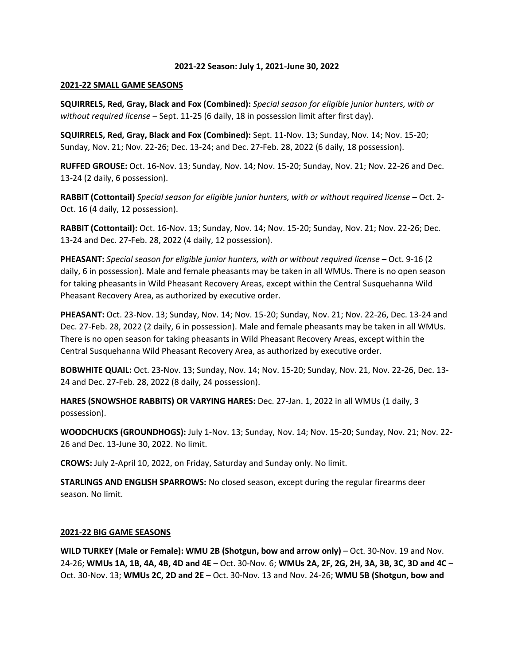#### **2021-22 Season: July 1, 2021-June 30, 2022**

#### **2021-22 SMALL GAME SEASONS**

**SQUIRRELS, Red, Gray, Black and Fox (Combined):** *Special season for eligible junior hunters, with or without required license* – Sept. 11-25 (6 daily, 18 in possession limit after first day).

**SQUIRRELS, Red, Gray, Black and Fox (Combined):** Sept. 11-Nov. 13; Sunday, Nov. 14; Nov. 15-20; Sunday, Nov. 21; Nov. 22-26; Dec. 13-24; and Dec. 27-Feb. 28, 2022 (6 daily, 18 possession).

**RUFFED GROUSE:** Oct. 16-Nov. 13; Sunday, Nov. 14; Nov. 15-20; Sunday, Nov. 21; Nov. 22-26 and Dec. 13-24 (2 daily, 6 possession).

**RABBIT (Cottontail)** *Special season for eligible junior hunters, with or without required license* **–** Oct. 2- Oct. 16 (4 daily, 12 possession).

**RABBIT (Cottontail):** Oct. 16-Nov. 13; Sunday, Nov. 14; Nov. 15-20; Sunday, Nov. 21; Nov. 22-26; Dec. 13-24 and Dec. 27-Feb. 28, 2022 (4 daily, 12 possession).

**PHEASANT:** *Special season for eligible junior hunters, with or without required license* **–** Oct. 9-16 (2 daily, 6 in possession). Male and female pheasants may be taken in all WMUs. There is no open season for taking pheasants in Wild Pheasant Recovery Areas, except within the Central Susquehanna Wild Pheasant Recovery Area, as authorized by executive order.

**PHEASANT:** Oct. 23-Nov. 13; Sunday, Nov. 14; Nov. 15-20; Sunday, Nov. 21; Nov. 22-26, Dec. 13-24 and Dec. 27-Feb. 28, 2022 (2 daily, 6 in possession). Male and female pheasants may be taken in all WMUs. There is no open season for taking pheasants in Wild Pheasant Recovery Areas, except within the Central Susquehanna Wild Pheasant Recovery Area, as authorized by executive order.

**BOBWHITE QUAIL:** Oct. 23-Nov. 13; Sunday, Nov. 14; Nov. 15-20; Sunday, Nov. 21, Nov. 22-26, Dec. 13- 24 and Dec. 27-Feb. 28, 2022 (8 daily, 24 possession).

**HARES (SNOWSHOE RABBITS) OR VARYING HARES:** Dec. 27-Jan. 1, 2022 in all WMUs (1 daily, 3 possession).

**WOODCHUCKS (GROUNDHOGS):** July 1-Nov. 13; Sunday, Nov. 14; Nov. 15-20; Sunday, Nov. 21; Nov. 22- 26 and Dec. 13-June 30, 2022. No limit.

**CROWS:** July 2-April 10, 2022, on Friday, Saturday and Sunday only. No limit.

**STARLINGS AND ENGLISH SPARROWS:** No closed season, except during the regular firearms deer season. No limit.

### **2021-22 BIG GAME SEASONS**

**WILD TURKEY (Male or Female): WMU 2B (Shotgun, bow and arrow only)** – Oct. 30-Nov. 19 and Nov. 24-26; **WMUs 1A, 1B, 4A, 4B, 4D and 4E** – Oct. 30-Nov. 6; **WMUs 2A, 2F, 2G, 2H, 3A, 3B, 3C, 3D and 4C** – Oct. 30-Nov. 13; **WMUs 2C, 2D and 2E** – Oct. 30-Nov. 13 and Nov. 24-26; **WMU 5B (Shotgun, bow and**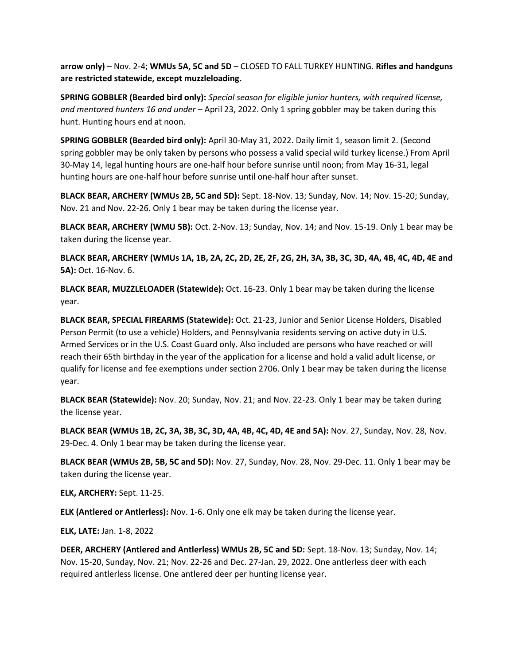**arrow only)** – Nov. 2-4; **WMUs 5A, 5C and 5D** – CLOSED TO FALL TURKEY HUNTING. **Rifles and handguns are restricted statewide, except muzzleloading.**

**SPRING GOBBLER (Bearded bird only):** *Special season for eligible junior hunters, with required license, and mentored hunters 16 and under* – April 23, 2022. Only 1 spring gobbler may be taken during this hunt. Hunting hours end at noon.

**SPRING GOBBLER (Bearded bird only):** April 30-May 31, 2022. Daily limit 1, season limit 2. (Second spring gobbler may be only taken by persons who possess a valid special wild turkey license.) From April 30-May 14, legal hunting hours are one-half hour before sunrise until noon; from May 16-31, legal hunting hours are one-half hour before sunrise until one-half hour after sunset.

**BLACK BEAR, ARCHERY (WMUs 2B, 5C and 5D):** Sept. 18-Nov. 13; Sunday, Nov. 14; Nov. 15-20; Sunday, Nov. 21 and Nov. 22-26. Only 1 bear may be taken during the license year.

**BLACK BEAR, ARCHERY (WMU 5B):** Oct. 2-Nov. 13; Sunday, Nov. 14; and Nov. 15-19. Only 1 bear may be taken during the license year.

**BLACK BEAR, ARCHERY (WMUs 1A, 1B, 2A, 2C, 2D, 2E, 2F, 2G, 2H, 3A, 3B, 3C, 3D, 4A, 4B, 4C, 4D, 4E and 5A):** Oct. 16-Nov. 6.

**BLACK BEAR, MUZZLELOADER (Statewide):** Oct. 16-23. Only 1 bear may be taken during the license year.

**BLACK BEAR, SPECIAL FIREARMS (Statewide):** Oct. 21-23, Junior and Senior License Holders, Disabled Person Permit (to use a vehicle) Holders, and Pennsylvania residents serving on active duty in U.S. Armed Services or in the U.S. Coast Guard only. Also included are persons who have reached or will reach their 65th birthday in the year of the application for a license and hold a valid adult license, or qualify for license and fee exemptions under section 2706. Only 1 bear may be taken during the license year.

**BLACK BEAR (Statewide):** Nov. 20; Sunday, Nov. 21; and Nov. 22-23. Only 1 bear may be taken during the license year.

**BLACK BEAR (WMUs 1B, 2C, 3A, 3B, 3C, 3D, 4A, 4B, 4C, 4D, 4E and 5A):** Nov. 27, Sunday, Nov. 28, Nov. 29-Dec. 4. Only 1 bear may be taken during the license year.

**BLACK BEAR (WMUs 2B, 5B, 5C and 5D):** Nov. 27, Sunday, Nov. 28, Nov. 29-Dec. 11. Only 1 bear may be taken during the license year.

**ELK, ARCHERY:** Sept. 11-25.

**ELK (Antlered or Antlerless):** Nov. 1-6. Only one elk may be taken during the license year.

**ELK, LATE:** Jan. 1-8, 2022

**DEER, ARCHERY (Antlered and Antlerless) WMUs 2B, 5C and 5D:** Sept. 18-Nov. 13; Sunday, Nov. 14; Nov. 15-20, Sunday, Nov. 21; Nov. 22-26 and Dec. 27-Jan. 29, 2022. One antlerless deer with each required antlerless license. One antlered deer per hunting license year.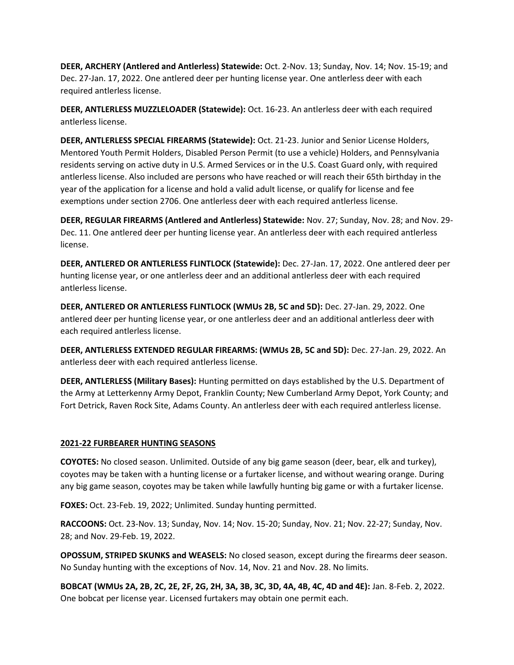**DEER, ARCHERY (Antlered and Antlerless) Statewide:** Oct. 2-Nov. 13; Sunday, Nov. 14; Nov. 15-19; and Dec. 27-Jan. 17, 2022. One antlered deer per hunting license year. One antlerless deer with each required antlerless license.

**DEER, ANTLERLESS MUZZLELOADER (Statewide):** Oct. 16-23. An antlerless deer with each required antlerless license.

**DEER, ANTLERLESS SPECIAL FIREARMS (Statewide):** Oct. 21-23. Junior and Senior License Holders, Mentored Youth Permit Holders, Disabled Person Permit (to use a vehicle) Holders, and Pennsylvania residents serving on active duty in U.S. Armed Services or in the U.S. Coast Guard only, with required antlerless license. Also included are persons who have reached or will reach their 65th birthday in the year of the application for a license and hold a valid adult license, or qualify for license and fee exemptions under section 2706. One antlerless deer with each required antlerless license.

**DEER, REGULAR FIREARMS (Antlered and Antlerless) Statewide:** Nov. 27; Sunday, Nov. 28; and Nov. 29- Dec. 11. One antlered deer per hunting license year. An antlerless deer with each required antlerless license.

**DEER, ANTLERED OR ANTLERLESS FLINTLOCK (Statewide):** Dec. 27-Jan. 17, 2022. One antlered deer per hunting license year, or one antlerless deer and an additional antlerless deer with each required antlerless license.

**DEER, ANTLERED OR ANTLERLESS FLINTLOCK (WMUs 2B, 5C and 5D):** Dec. 27-Jan. 29, 2022. One antlered deer per hunting license year, or one antlerless deer and an additional antlerless deer with each required antlerless license.

**DEER, ANTLERLESS EXTENDED REGULAR FIREARMS: (WMUs 2B, 5C and 5D):** Dec. 27-Jan. 29, 2022. An antlerless deer with each required antlerless license.

**DEER, ANTLERLESS (Military Bases):** Hunting permitted on days established by the U.S. Department of the Army at Letterkenny Army Depot, Franklin County; New Cumberland Army Depot, York County; and Fort Detrick, Raven Rock Site, Adams County. An antlerless deer with each required antlerless license.

# **2021-22 FURBEARER HUNTING SEASONS**

**COYOTES:** No closed season. Unlimited. Outside of any big game season (deer, bear, elk and turkey), coyotes may be taken with a hunting license or a furtaker license, and without wearing orange. During any big game season, coyotes may be taken while lawfully hunting big game or with a furtaker license.

**FOXES:** Oct. 23-Feb. 19, 2022; Unlimited. Sunday hunting permitted.

**RACCOONS:** Oct. 23-Nov. 13; Sunday, Nov. 14; Nov. 15-20; Sunday, Nov. 21; Nov. 22-27; Sunday, Nov. 28; and Nov. 29-Feb. 19, 2022.

**OPOSSUM, STRIPED SKUNKS and WEASELS:** No closed season, except during the firearms deer season. No Sunday hunting with the exceptions of Nov. 14, Nov. 21 and Nov. 28. No limits.

**BOBCAT (WMUs 2A, 2B, 2C, 2E, 2F, 2G, 2H, 3A, 3B, 3C, 3D, 4A, 4B, 4C, 4D and 4E):** Jan. 8-Feb. 2, 2022. One bobcat per license year. Licensed furtakers may obtain one permit each.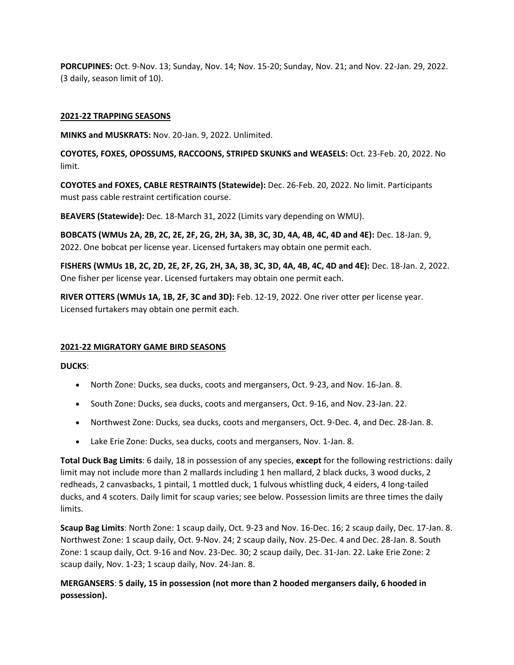**PORCUPINES:** Oct. 9-Nov. 13; Sunday, Nov. 14; Nov. 15-20; Sunday, Nov. 21; and Nov. 22-Jan. 29, 2022. (3 daily, season limit of 10).

# **2021-22 TRAPPING SEASONS**

**MINKS and MUSKRATS:** Nov. 20-Jan. 9, 2022. Unlimited.

**COYOTES, FOXES, OPOSSUMS, RACCOONS, STRIPED SKUNKS and WEASELS:** Oct. 23-Feb. 20, 2022. No limit.

**COYOTES and FOXES, CABLE RESTRAINTS (Statewide):** Dec. 26-Feb. 20, 2022. No limit. Participants must pass cable restraint certification course.

**BEAVERS (Statewide):** Dec. 18-March 31, 2022 (Limits vary depending on WMU).

**BOBCATS (WMUs 2A, 2B, 2C, 2E, 2F, 2G, 2H, 3A, 3B, 3C, 3D, 4A, 4B, 4C, 4D and 4E):** Dec. 18-Jan. 9, 2022. One bobcat per license year. Licensed furtakers may obtain one permit each.

**FISHERS (WMUs 1B, 2C, 2D, 2E, 2F, 2G, 2H, 3A, 3B, 3C, 3D, 4A, 4B, 4C, 4D and 4E):** Dec. 18-Jan. 2, 2022. One fisher per license year. Licensed furtakers may obtain one permit each.

**RIVER OTTERS (WMUs 1A, 1B, 2F, 3C and 3D):** Feb. 12-19, 2022. One river otter per license year. Licensed furtakers may obtain one permit each.

# **2021-22 MIGRATORY GAME BIRD SEASONS**

**DUCKS**:

- North Zone: Ducks, sea ducks, coots and mergansers, Oct. 9-23, and Nov. 16-Jan. 8.
- South Zone: Ducks, sea ducks, coots and mergansers, Oct. 9-16, and Nov. 23-Jan. 22.
- Northwest Zone: Ducks, sea ducks, coots and mergansers, Oct. 9-Dec. 4, and Dec. 28-Jan. 8.
- Lake Erie Zone: Ducks, sea ducks, coots and mergansers, Nov. 1-Jan. 8.

**Total Duck Bag Limits**: 6 daily, 18 in possession of any species, **except** for the following restrictions: daily limit may not include more than 2 mallards including 1 hen mallard, 2 black ducks, 3 wood ducks, 2 redheads, 2 canvasbacks, 1 pintail, 1 mottled duck, 1 fulvous whistling duck, 4 eiders, 4 long-tailed ducks, and 4 scoters. Daily limit for scaup varies; see below. Possession limits are three times the daily limits.

**Scaup Bag Limits**: North Zone: 1 scaup daily, Oct. 9-23 and Nov. 16-Dec. 16; 2 scaup daily, Dec. 17-Jan. 8. Northwest Zone: 1 scaup daily, Oct. 9-Nov. 24; 2 scaup daily, Nov. 25-Dec. 4 and Dec. 28-Jan. 8. South Zone: 1 scaup daily, Oct. 9-16 and Nov. 23-Dec. 30; 2 scaup daily, Dec. 31-Jan. 22. Lake Erie Zone: 2 scaup daily, Nov. 1-23; 1 scaup daily, Nov. 24-Jan. 8.

# **MERGANSERS**: **5 daily, 15 in possession (not more than 2 hooded mergansers daily, 6 hooded in possession).**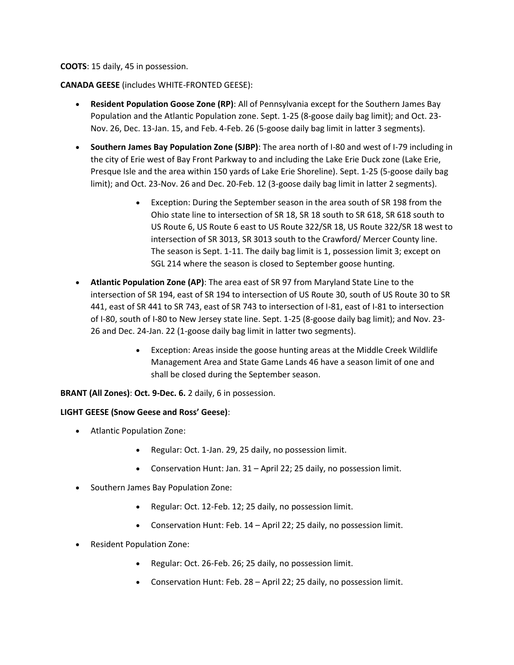## **COOTS**: 15 daily, 45 in possession.

## **CANADA GEESE** (includes WHITE-FRONTED GEESE):

- **Resident Population Goose Zone (RP)**: All of Pennsylvania except for the Southern James Bay Population and the Atlantic Population zone. Sept. 1-25 (8-goose daily bag limit); and Oct. 23- Nov. 26, Dec. 13-Jan. 15, and Feb. 4-Feb. 26 (5-goose daily bag limit in latter 3 segments).
- **Southern James Bay Population Zone (SJBP)**: The area north of I-80 and west of I-79 including in the city of Erie west of Bay Front Parkway to and including the Lake Erie Duck zone (Lake Erie, Presque Isle and the area within 150 yards of Lake Erie Shoreline). Sept. 1-25 (5-goose daily bag limit); and Oct. 23-Nov. 26 and Dec. 20-Feb. 12 (3-goose daily bag limit in latter 2 segments).
	- Exception: During the September season in the area south of SR 198 from the Ohio state line to intersection of SR 18, SR 18 south to SR 618, SR 618 south to US Route 6, US Route 6 east to US Route 322/SR 18, US Route 322/SR 18 west to intersection of SR 3013, SR 3013 south to the Crawford/ Mercer County line. The season is Sept. 1-11. The daily bag limit is 1, possession limit 3; except on SGL 214 where the season is closed to September goose hunting.
- **Atlantic Population Zone (AP)**: The area east of SR 97 from Maryland State Line to the intersection of SR 194, east of SR 194 to intersection of US Route 30, south of US Route 30 to SR 441, east of SR 441 to SR 743, east of SR 743 to intersection of I-81, east of I-81 to intersection of I-80, south of I-80 to New Jersey state line. Sept. 1-25 (8-goose daily bag limit); and Nov. 23- 26 and Dec. 24-Jan. 22 (1-goose daily bag limit in latter two segments).
	- Exception: Areas inside the goose hunting areas at the Middle Creek Wildlife Management Area and State Game Lands 46 have a season limit of one and shall be closed during the September season.

**BRANT (All Zones)**: **Oct. 9-Dec. 6.** 2 daily, 6 in possession.

# **LIGHT GEESE (Snow Geese and Ross' Geese)**:

- Atlantic Population Zone:
	- Regular: Oct. 1-Jan. 29, 25 daily, no possession limit.
	- Conservation Hunt: Jan. 31 April 22; 25 daily, no possession limit.
- Southern James Bay Population Zone:
	- Regular: Oct. 12-Feb. 12; 25 daily, no possession limit.
	- Conservation Hunt: Feb. 14 April 22; 25 daily, no possession limit.
- Resident Population Zone:
	- Regular: Oct. 26-Feb. 26; 25 daily, no possession limit.
	- Conservation Hunt: Feb. 28 April 22; 25 daily, no possession limit.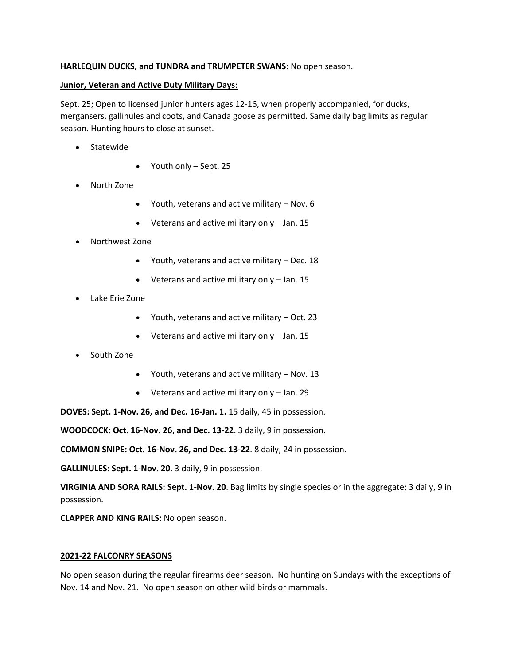# **HARLEQUIN DUCKS, and TUNDRA and TRUMPETER SWANS**: No open season.

# **Junior, Veteran and Active Duty Military Days**:

Sept. 25; Open to licensed junior hunters ages 12-16, when properly accompanied, for ducks, mergansers, gallinules and coots, and Canada goose as permitted. Same daily bag limits as regular season. Hunting hours to close at sunset.

- Statewide
- Youth only Sept. 25
- North Zone
	- Youth, veterans and active military Nov. 6
	- Veterans and active military only Jan. 15
- Northwest Zone
	- Youth, veterans and active military Dec. 18
	- Veterans and active military only Jan. 15
- Lake Erie Zone
	- Youth, veterans and active military Oct. 23
	- Veterans and active military only Jan. 15
- South Zone
	- Youth, veterans and active military Nov. 13
	- Veterans and active military only Jan. 29

**DOVES: Sept. 1-Nov. 26, and Dec. 16-Jan. 1.** 15 daily, 45 in possession.

**WOODCOCK: Oct. 16-Nov. 26, and Dec. 13-22**. 3 daily, 9 in possession.

**COMMON SNIPE: Oct. 16-Nov. 26, and Dec. 13-22**. 8 daily, 24 in possession.

**GALLINULES: Sept. 1-Nov. 20**. 3 daily, 9 in possession.

**VIRGINIA AND SORA RAILS: Sept. 1-Nov. 20**. Bag limits by single species or in the aggregate; 3 daily, 9 in possession.

**CLAPPER AND KING RAILS:** No open season.

# **2021-22 FALCONRY SEASONS**

No open season during the regular firearms deer season. No hunting on Sundays with the exceptions of Nov. 14 and Nov. 21. No open season on other wild birds or mammals.